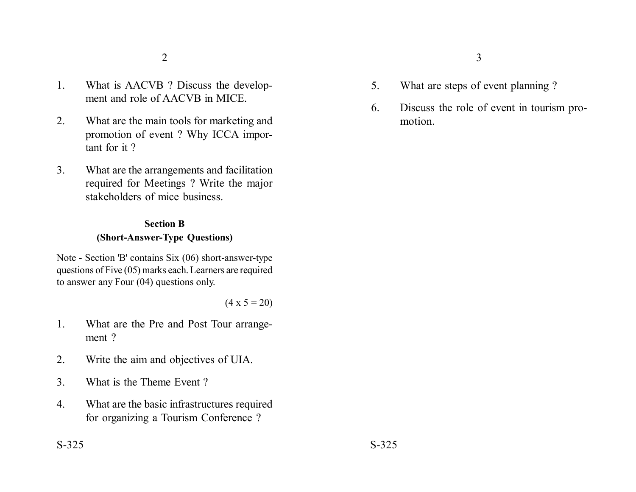- 1. What is AACVB ? Discuss the development and role of AACVB in MICE.
- 2. What are the main tools for marketing and promotion of event ? Why ICCA important for it ?
- 3. What are the arrangements and facilitation required for Meetings ? Write the major stakeholders of mice business.

## **Section B (Short-Answer-Type Questions)**

Note - Section 'B' contains Six (06) short-answer-type questions of Five (05) marks each. Learners are required to answer any Four (04) questions only.

 $(4 \times 5 = 20)$ 

- 1. What are the Pre and Post Tour arrangement ?
- 2. Write the aim and objectives of UIA.
- 3. What is the Theme Event ?
- 4. What are the basic infrastructures required for organizing a Tourism Conference ?
- 5. What are steps of event planning ?
- 6. Discuss the role of event in tourism promotion.